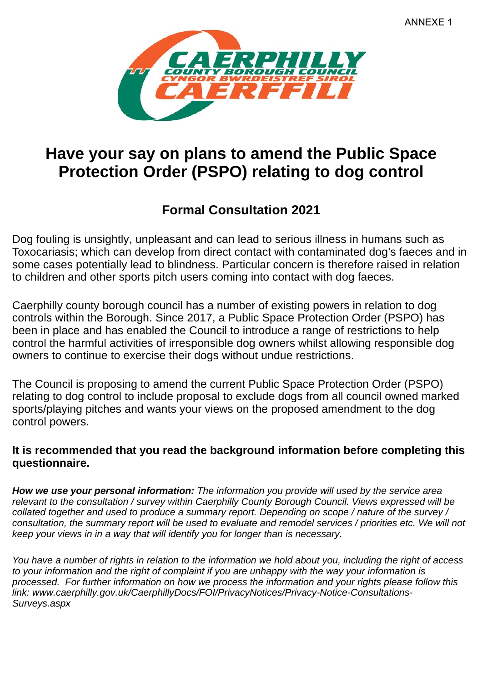

## **Have your say on plans to amend the Public Space Protection Order (PSPO) relating to dog control**

## **Formal Consultation 2021**

Dog fouling is unsightly, unpleasant and can lead to serious illness in humans such as Toxocariasis; which can develop from direct contact with contaminated dog's faeces and in some cases potentially lead to blindness. Particular concern is therefore raised in relation to children and other sports pitch users coming into contact with dog faeces.

Caerphilly county borough council has a number of existing powers in relation to dog controls within the Borough. Since 2017, a Public Space Protection Order (PSPO) has been in place and has enabled the Council to introduce a range of restrictions to help control the harmful activities of irresponsible dog owners whilst allowing responsible dog owners to continue to exercise their dogs without undue restrictions.

The Council is proposing to amend the current Public Space Protection Order (PSPO) relating to dog control to include proposal to exclude dogs from all council owned marked sports/playing pitches and wants your views on the proposed amendment to the dog control powers.

## **It is recommended that you read the background information before completing this questionnaire.**

*How we use your personal information: The information you provide will used by the service area relevant to the consultation / survey within Caerphilly County Borough Council. Views expressed will be collated together and used to produce a summary report. Depending on scope / nature of the survey /*  consultation, the summary report will be used to evaluate and remodel services / priorities etc. We will not *keep your views in in a way that will identify you for longer than is necessary.*

*You have a number of rights in relation to the information we hold about you, including the right of access to your information and the right of complaint if you are unhappy with the way your information is processed. For further information on how we process the information and your rights please follow this link: www.caerphilly.gov.uk/CaerphillyDocs/FOI/PrivacyNotices/Privacy-Notice-Consultations-Surveys.aspx*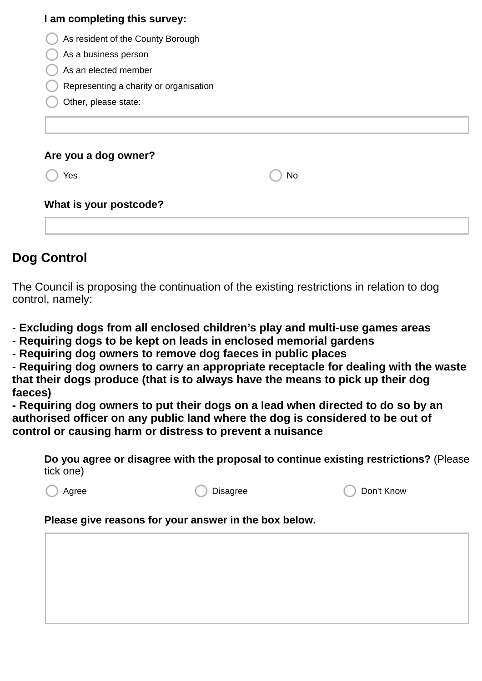| I am completing this survey:           |    |  |
|----------------------------------------|----|--|
| As resident of the County Borough      |    |  |
| As a business person                   |    |  |
| As an elected member                   |    |  |
| Representing a charity or organisation |    |  |
| Other, please state:                   |    |  |
| Are you a dog owner?                   |    |  |
| Yes                                    | No |  |
| What is your postcode?                 |    |  |
|                                        |    |  |
|                                        |    |  |

## **Dog Control**

The Council is proposing the continuation of the existing restrictions in relation to dog control, namely:

- **Excluding dogs from all enclosed children's play and multi-use games areas**
- **Requiring dogs to be kept on leads in enclosed memorial gardens**
- **Requiring dog owners to remove dog faeces in public places**
- **Requiring dog owners to carry an appropriate receptacle for dealing with the waste that their dogs produce (that is to always have the means to pick up their dog faeces)**

**- Requiring dog owners to put their dogs on a lead when directed to do so by an authorised officer on any public land where the dog is considered to be out of control or causing harm or distress to prevent a nuisance**

**Do you agree or disagree with the proposal to continue existing restrictions?** (Please tick one)

Agree **Disagree** Disagree **Disagree** Don't Know

**Please give reasons for your answer in the box below.**